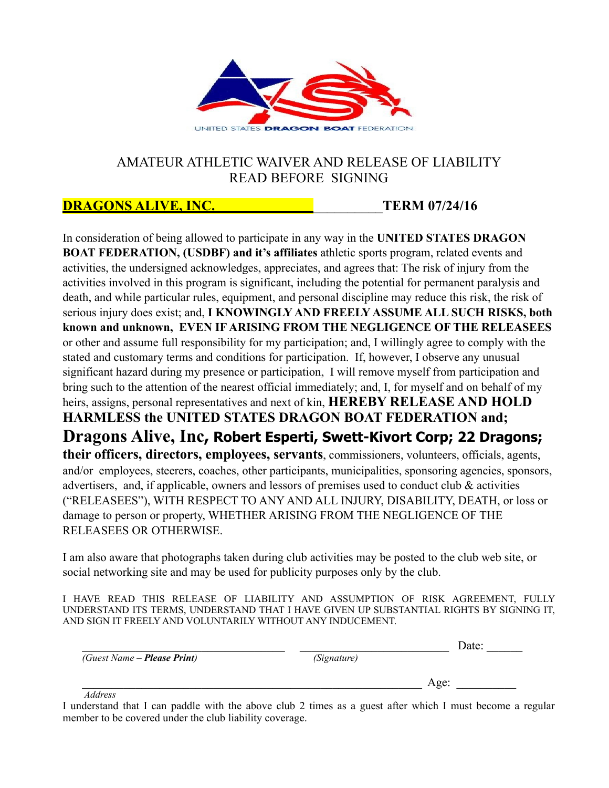

## AMATEUR ATHLETIC WAIVER AND RELEASE OF LIABILITY READ BEFORE SIGNING

## **DRAGONS ALIVE, INC.** \_\_\_\_\_\_\_\_\_\_**TERM 07/24/16**

In consideration of being allowed to participate in any way in the **UNITED STATES DRAGON BOAT FEDERATION, (USDBF) and it's affiliates** athletic sports program, related events and activities, the undersigned acknowledges, appreciates, and agrees that: The risk of injury from the activities involved in this program is significant, including the potential for permanent paralysis and death, and while particular rules, equipment, and personal discipline may reduce this risk, the risk of serious injury does exist; and, **I KNOWINGLY AND FREELY ASSUME ALL SUCH RISKS, both known and unknown, EVEN IF ARISING FROM THE NEGLIGENCE OF THE RELEASEES** or other and assume full responsibility for my participation; and, I willingly agree to comply with the stated and customary terms and conditions for participation. If, however, I observe any unusual significant hazard during my presence or participation, I will remove myself from participation and bring such to the attention of the nearest official immediately; and, I, for myself and on behalf of my heirs, assigns, personal representatives and next of kin, **HEREBY RELEASE AND HOLD HARMLESS the UNITED STATES DRAGON BOAT FEDERATION and; Dragons Alive, Inc, Robert Esperti, Swett-Kivort Corp; 22 Dragons; their officers, directors, employees, servants**, commissioners, volunteers, officials, agents, and/or employees, steerers, coaches, other participants, municipalities, sponsoring agencies, sponsors, advertisers, and, if applicable, owners and lessors of premises used to conduct club & activities ("RELEASEES"), WITH RESPECT TO ANY AND ALL INJURY, DISABILITY, DEATH, or loss or damage to person or property, WHETHER ARISING FROM THE NEGLIGENCE OF THE RELEASEES OR OTHERWISE.

I am also aware that photographs taken during club activities may be posted to the club web site, or social networking site and may be used for publicity purposes only by the club.

I HAVE READ THIS RELEASE OF LIABILITY AND ASSUMPTION OF RISK AGREEMENT, FULLY UNDERSTAND ITS TERMS, UNDERSTAND THAT I HAVE GIVEN UP SUBSTANTIAL RIGHTS BY SIGNING IT, AND SIGN IT FREELY AND VOLUNTARILY WITHOUT ANY INDUCEMENT.

|                                     |             | Date: |
|-------------------------------------|-------------|-------|
| (Guest Name – <b>Please Print</b> ) | (Signature) |       |
|                                     |             | Age:  |
| $\sim$ $\sim$ $\sim$                |             |       |

 *Address* 

I understand that I can paddle with the above club 2 times as a guest after which I must become a regular member to be covered under the club liability coverage.